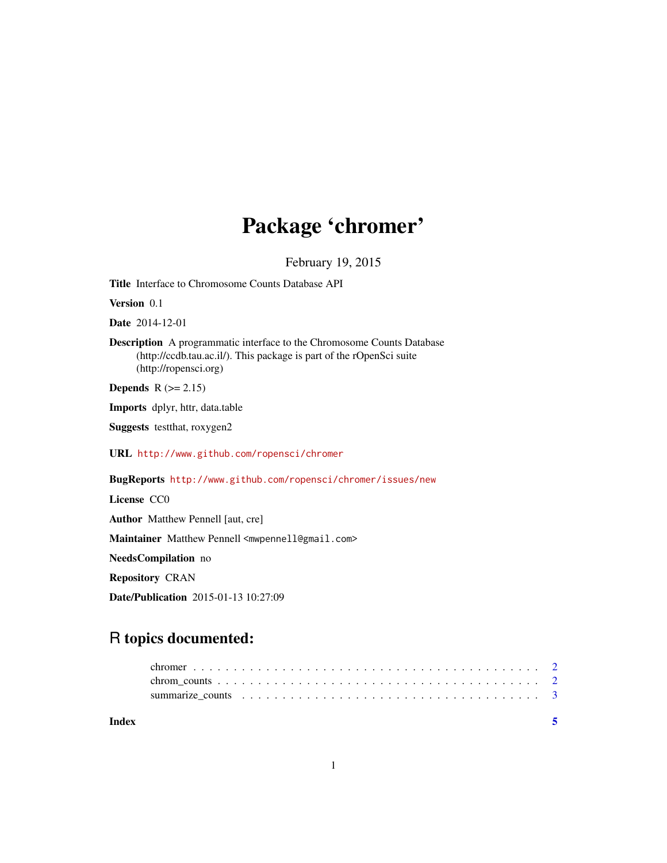## Package 'chromer'

February 19, 2015

Title Interface to Chromosome Counts Database API

Version 0.1

Date 2014-12-01

Description A programmatic interface to the Chromosome Counts Database (http://ccdb.tau.ac.il/). This package is part of the rOpenSci suite (http://ropensci.org)

Depends  $R$  ( $>= 2.15$ )

Imports dplyr, httr, data.table

Suggests testthat, roxygen2

URL <http://www.github.com/ropensci/chromer>

BugReports <http://www.github.com/ropensci/chromer/issues/new>

License CC0

Author Matthew Pennell [aut, cre]

Maintainer Matthew Pennell <mwpennell@gmail.com>

NeedsCompilation no

Repository CRAN

Date/Publication 2015-01-13 10:27:09

### R topics documented:

| Index |  |
|-------|--|
|       |  |
|       |  |
|       |  |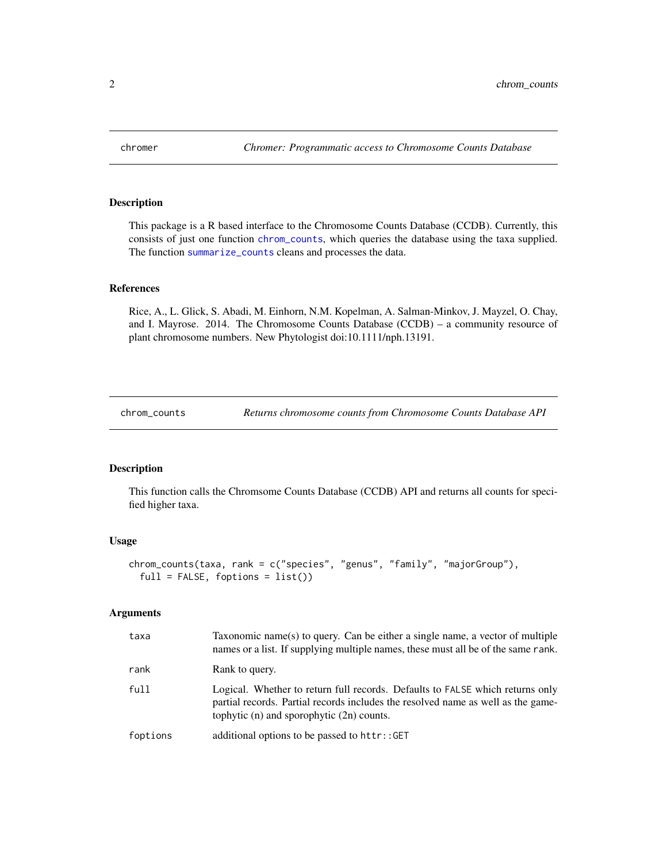<span id="page-1-0"></span>

#### Description

This package is a R based interface to the Chromosome Counts Database (CCDB). Currently, this consists of just one function [chrom\\_counts](#page-1-1), which queries the database using the taxa supplied. The function [summarize\\_counts](#page-2-1) cleans and processes the data.

#### References

Rice, A., L. Glick, S. Abadi, M. Einhorn, N.M. Kopelman, A. Salman-Minkov, J. Mayzel, O. Chay, and I. Mayrose. 2014. The Chromosome Counts Database (CCDB) – a community resource of plant chromosome numbers. New Phytologist doi:10.1111/nph.13191.

<span id="page-1-1"></span>chrom\_counts *Returns chromosome counts from Chromosome Counts Database API*

#### Description

This function calls the Chromsome Counts Database (CCDB) API and returns all counts for specified higher taxa.

#### Usage

```
chrom_counts(taxa, rank = c("species", "genus", "family", "majorGroup"),
  full = FALSE, foptions = list()
```
#### Arguments

| taxa     | Taxonomic name(s) to query. Can be either a single name, a vector of multiple<br>names or a list. If supplying multiple names, these must all be of the same rank.                                                 |
|----------|--------------------------------------------------------------------------------------------------------------------------------------------------------------------------------------------------------------------|
| rank     | Rank to query.                                                                                                                                                                                                     |
| full     | Logical. Whether to return full records. Defaults to FALSE which returns only<br>partial records. Partial records includes the resolved name as well as the game-<br>tophytic $(n)$ and sporophytic $(2n)$ counts. |
| foptions | additional options to be passed to httr::GET                                                                                                                                                                       |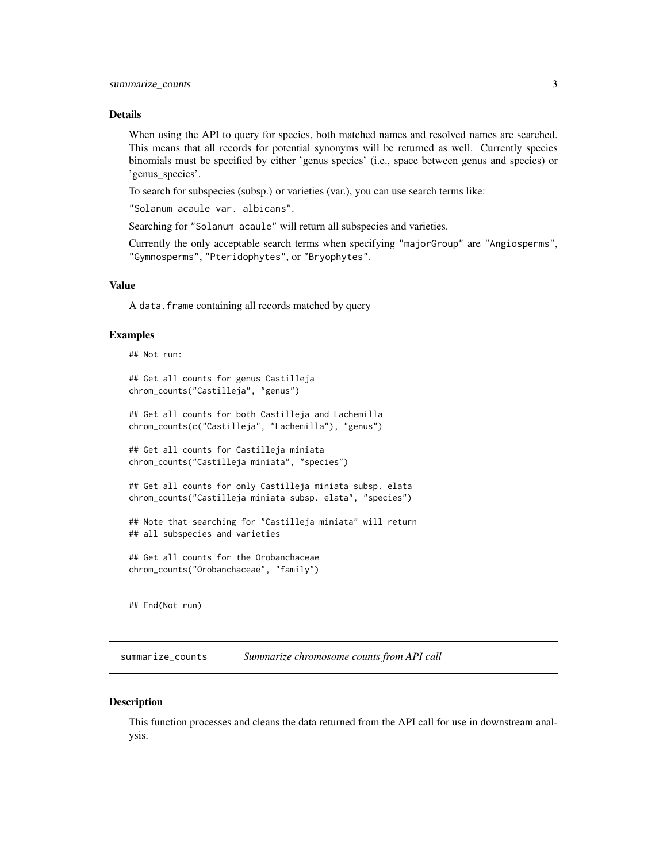#### <span id="page-2-0"></span>Details

When using the API to query for species, both matched names and resolved names are searched. This means that all records for potential synonyms will be returned as well. Currently species binomials must be specified by either 'genus species' (i.e., space between genus and species) or 'genus\_species'.

To search for subspecies (subsp.) or varieties (var.), you can use search terms like:

"Solanum acaule var. albicans".

Searching for "Solanum acaule" will return all subspecies and varieties.

Currently the only acceptable search terms when specifying "majorGroup" are "Angiosperms", "Gymnosperms", "Pteridophytes", or "Bryophytes".

#### Value

A data.frame containing all records matched by query

#### Examples

```
## Not run:
## Get all counts for genus Castilleja
chrom_counts("Castilleja", "genus")
## Get all counts for both Castilleja and Lachemilla
chrom_counts(c("Castilleja", "Lachemilla"), "genus")
## Get all counts for Castilleja miniata
chrom_counts("Castilleja miniata", "species")
## Get all counts for only Castilleja miniata subsp. elata
chrom_counts("Castilleja miniata subsp. elata", "species")
## Note that searching for "Castilleja miniata" will return
## all subspecies and varieties
## Get all counts for the Orobanchaceae
chrom_counts("Orobanchaceae", "family")
```
## End(Not run)

<span id="page-2-1"></span>summarize\_counts *Summarize chromosome counts from API call*

#### Description

This function processes and cleans the data returned from the API call for use in downstream analysis.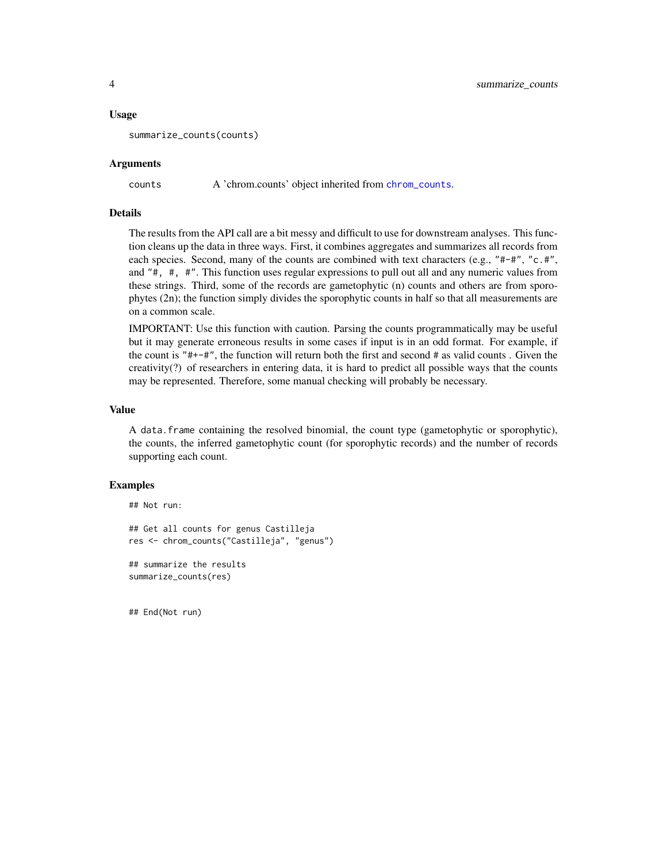#### <span id="page-3-0"></span>Usage

```
summarize_counts(counts)
```
#### Arguments

counts A 'chrom.counts' object inherited from [chrom\\_counts](#page-1-1).

#### Details

The results from the API call are a bit messy and difficult to use for downstream analyses. This function cleans up the data in three ways. First, it combines aggregates and summarizes all records from each species. Second, many of the counts are combined with text characters (e.g., "#-#", "c.#", and "#, #, #". This function uses regular expressions to pull out all and any numeric values from these strings. Third, some of the records are gametophytic (n) counts and others are from sporophytes (2n); the function simply divides the sporophytic counts in half so that all measurements are on a common scale.

IMPORTANT: Use this function with caution. Parsing the counts programmatically may be useful but it may generate erroneous results in some cases if input is in an odd format. For example, if the count is "#+-#", the function will return both the first and second # as valid counts . Given the creativity(?) of researchers in entering data, it is hard to predict all possible ways that the counts may be represented. Therefore, some manual checking will probably be necessary.

#### Value

A data. frame containing the resolved binomial, the count type (gametophytic or sporophytic), the counts, the inferred gametophytic count (for sporophytic records) and the number of records supporting each count.

#### Examples

```
## Not run:
## Get all counts for genus Castilleja
res <- chrom_counts("Castilleja", "genus")
## summarize the results
summarize_counts(res)
```
## End(Not run)